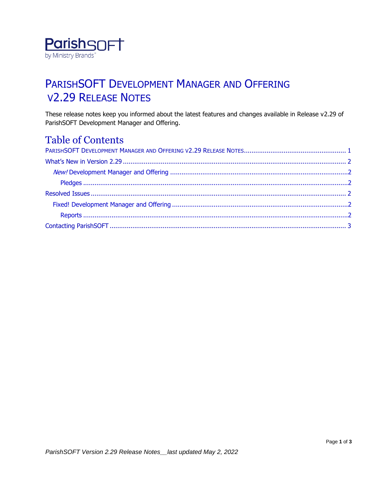

## <span id="page-0-0"></span>PARISHSOFT DEVELOPMENT MANAGER AND OFFERING V2.29 RELEASE NOTES

These release notes keep you informed about the latest features and changes available in Release v2.29 of ParishSOFT Development Manager and Offering.

#### Table of Contents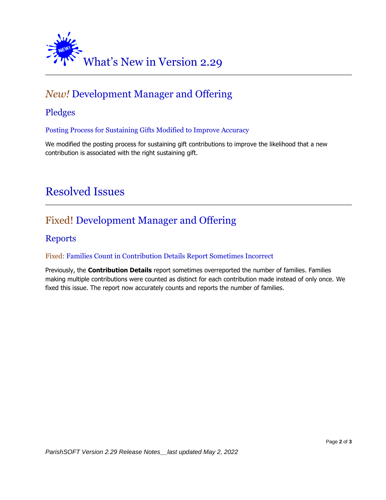<span id="page-1-0"></span>

## <span id="page-1-1"></span>*New!* Development Manager and Offering

#### <span id="page-1-2"></span>Pledges

Posting Process for Sustaining Gifts Modified to Improve Accuracy

<span id="page-1-3"></span>We modified the posting process for sustaining gift contributions to improve the likelihood that a new contribution is associated with the right sustaining gift.

## Resolved Issues

### <span id="page-1-4"></span>Fixed! Development Manager and Offering

#### <span id="page-1-5"></span>Reports

#### Fixed: Families Count in Contribution Details Report Sometimes Incorrect

<span id="page-1-6"></span>Previously, the **Contribution Details** report sometimes overreported the number of families. Families making multiple contributions were counted as distinct for each contribution made instead of only once. We fixed this issue. The report now accurately counts and reports the number of families.